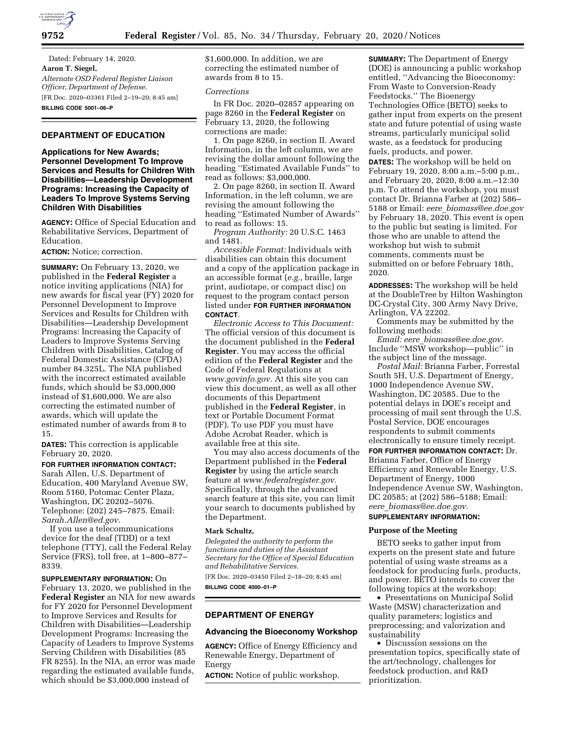

Dated: February 14, 2020. **Aaron T. Siegel,**  *Alternate OSD Federal Register Liaison Officer, Department of Defense.*  [FR Doc. 2020–03361 Filed 2–19–20; 8:45 am] **BILLING CODE 5001–06–P** 

# **DEPARTMENT OF EDUCATION**

**Applications for New Awards; Personnel Development To Improve Services and Results for Children With Disabilities—Leadership Development Programs: Increasing the Capacity of Leaders To Improve Systems Serving Children With Disabilities** 

**AGENCY:** Office of Special Education and Rehabilitative Services, Department of Education.

**ACTION:** Notice; correction.

**SUMMARY:** On February 13, 2020, we published in the **Federal Register** a notice inviting applications (NIA) for new awards for fiscal year (FY) 2020 for Personnel Development to Improve Services and Results for Children with Disabilities—Leadership Development Programs: Increasing the Capacity of Leaders to Improve Systems Serving Children with Disabilities, Catalog of Federal Domestic Assistance (CFDA) number 84.325L. The NIA published with the incorrect estimated available funds, which should be \$3,000,000 instead of \$1,600,000. We are also correcting the estimated number of awards, which will update the estimated number of awards from 8 to 15.

**DATES:** This correction is applicable February 20, 2020.

**FOR FURTHER INFORMATION CONTACT:** 

Sarah Allen, U.S. Department of Education, 400 Maryland Avenue SW, Room 5160, Potomac Center Plaza, Washington, DC 20202–5076. Telephone: (202) 245–7875. Email: *[Sarah.Allen@ed.gov.](mailto:Sarah.Allen@ed.gov)* 

If you use a telecommunications device for the deaf (TDD) or a text telephone (TTY), call the Federal Relay Service (FRS), toll free, at 1–800–877– 8339.

**SUPPLEMENTARY INFORMATION:** On February 13, 2020, we published in the **Federal Register** an NIA for new awards for FY 2020 for Personnel Development to Improve Services and Results for Children with Disabilities—Leadership Development Programs: Increasing the Capacity of Leaders to Improve Systems Serving Children with Disabilities (85 FR 8255). In the NIA, an error was made regarding the estimated available funds, which should be \$3,000,000 instead of

\$1,600,000. In addition, we are correcting the estimated number of awards from 8 to 15.

### *Corrections*

In FR Doc. 2020–02857 appearing on page 8260 in the **Federal Register** on February 13, 2020, the following corrections are made:

1. On page 8260, in section II. Award Information, in the left column, we are revising the dollar amount following the heading ''Estimated Available Funds'' to read as follows: \$3,000,000.

2. On page 8260, in section II. Award Information, in the left column, we are revising the amount following the heading ''Estimated Number of Awards'' to read as follows: 15.

*Program Authority:* 20 U.S.C. 1463 and 1481.

*Accessible Format:* Individuals with disabilities can obtain this document and a copy of the application package in an accessible format (*e.g.,* braille, large print, audiotape, or compact disc) on request to the program contact person listed under **FOR FURTHER INFORMATION CONTACT**.

*Electronic Access to This Document:*  The official version of this document is the document published in the **Federal Register**. You may access the official edition of the **Federal Register** and the Code of Federal Regulations at *[www.govinfo.gov.](http://www.govinfo.gov)* At this site you can view this document, as well as all other documents of this Department published in the **Federal Register**, in text or Portable Document Format (PDF). To use PDF you must have Adobe Acrobat Reader, which is available free at this site.

You may also access documents of the Department published in the **Federal Register** by using the article search feature at *[www.federalregister.gov.](http://www.federalregister.gov)*  Specifically, through the advanced search feature at this site, you can limit your search to documents published by the Department.

## **Mark Schultz,**

*Delegated the authority to perform the functions and duties of the Assistant Secretary for the Office of Special Education and Rehabilitative Services.*  [FR Doc. 2020–03450 Filed 2–18–20; 8:45 am]

**BILLING CODE 4000–01–P** 

# **DEPARTMENT OF ENERGY**

### **Advancing the Bioeconomy Workshop**

**AGENCY:** Office of Energy Efficiency and Renewable Energy, Department of Energy

**ACTION:** Notice of public workshop.

**SUMMARY:** The Department of Energy (DOE) is announcing a public workshop entitled, ''Advancing the Bioeconomy: From Waste to Conversion-Ready Feedstocks.'' The Bioenergy Technologies Office (BETO) seeks to gather input from experts on the present state and future potential of using waste streams, particularly municipal solid waste, as a feedstock for producing fuels, products, and power. **DATES:** The workshop will be held on February 19, 2020, 8:00 a.m.–5:00 p.m., and February 20, 2020, 8:00 a.m.–12:30 p.m. To attend the workshop, you must contact Dr. Brianna Farber at (202) 586– 5188 or Email: *eere*\_*[biomass@ee.doe.gov](mailto:eere_biomass@ee.doe.gov)*  by February 18, 2020. This event is open to the public but seating is limited. For

those who are unable to attend the workshop but wish to submit comments, comments must be submitted on or before February 18th, 2020.

**ADDRESSES:** The workshop will be held at the DoubleTree by Hilton Washington DC-Crystal City, 300 Army Navy Drive, Arlington, VA 22202.

Comments may be submitted by the following methods:

*Email: eere*\_*[biomass@ee.doe.gov.](mailto:eere_biomass@ee.doe.gov)*  Include ''MSW workshop—public'' in the subject line of the message.

*Postal Mail:* Brianna Farber, Forrestal South 5H, U.S. Department of Energy, 1000 Independence Avenue SW, Washington, DC 20585. Due to the potential delays in DOE's receipt and processing of mail sent through the U.S. Postal Service, DOE encourages respondents to submit comments electronically to ensure timely receipt.

**FOR FURTHER INFORMATION CONTACT:** Dr. Brianna Farber, Office of Energy Efficiency and Renewable Energy, U.S. Department of Energy, 1000 Independence Avenue SW, Washington, DC 20585; at (202) 586–5188; Email: *eere*\_*[biomass@ee.doe.gov.](mailto:eere_biomass@ee.doe.gov)* 

#### **SUPPLEMENTARY INFORMATION:**

### **Purpose of the Meeting**

BETO seeks to gather input from experts on the present state and future potential of using waste streams as a feedstock for producing fuels, products, and power. BETO intends to cover the following topics at the workshop:

• Presentations on Municipal Solid Waste (MSW) characterization and quality parameters; logistics and preprocessing; and valorization and sustainability

• Discussion sessions on the presentation topics, specifically state of the art/technology, challenges for feedstock production, and R&D prioritization.